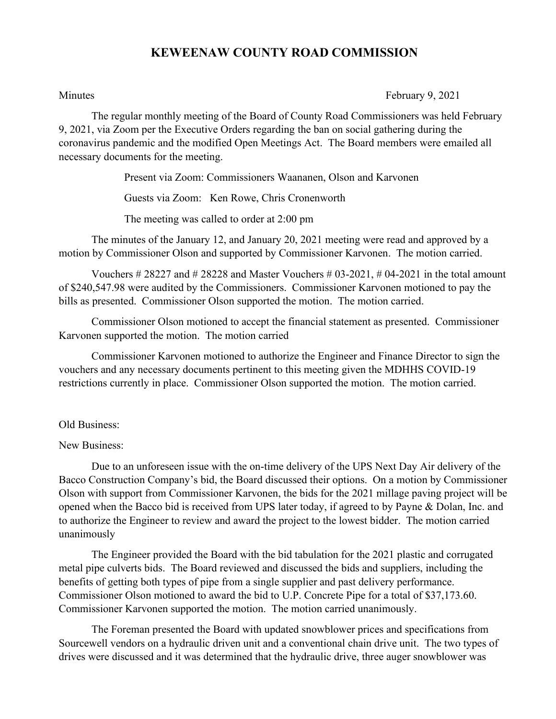## **KEWEENAW COUNTY ROAD COMMISSION**

Minutes February 9, 2021

The regular monthly meeting of the Board of County Road Commissioners was held February 9, 2021, via Zoom per the Executive Orders regarding the ban on social gathering during the coronavirus pandemic and the modified Open Meetings Act. The Board members were emailed all necessary documents for the meeting.

Present via Zoom: Commissioners Waananen, Olson and Karvonen

Guests via Zoom: Ken Rowe, Chris Cronenworth

The meeting was called to order at 2:00 pm

The minutes of the January 12, and January 20, 2021 meeting were read and approved by a motion by Commissioner Olson and supported by Commissioner Karvonen. The motion carried.

Vouchers  $\# 28227$  and  $\# 28228$  and Master Vouchers  $\# 03-2021$ ,  $\# 04-2021$  in the total amount of \$240,547.98 were audited by the Commissioners. Commissioner Karvonen motioned to pay the bills as presented. Commissioner Olson supported the motion. The motion carried.

Commissioner Olson motioned to accept the financial statement as presented. Commissioner Karvonen supported the motion. The motion carried

Commissioner Karvonen motioned to authorize the Engineer and Finance Director to sign the vouchers and any necessary documents pertinent to this meeting given the MDHHS COVID-19 restrictions currently in place. Commissioner Olson supported the motion. The motion carried.

## Old Business:

## New Business:

Due to an unforeseen issue with the on-time delivery of the UPS Next Day Air delivery of the Bacco Construction Company's bid, the Board discussed their options. On a motion by Commissioner Olson with support from Commissioner Karvonen, the bids for the 2021 millage paving project will be opened when the Bacco bid is received from UPS later today, if agreed to by Payne & Dolan, Inc. and to authorize the Engineer to review and award the project to the lowest bidder. The motion carried unanimously

The Engineer provided the Board with the bid tabulation for the 2021 plastic and corrugated metal pipe culverts bids. The Board reviewed and discussed the bids and suppliers, including the benefits of getting both types of pipe from a single supplier and past delivery performance. Commissioner Olson motioned to award the bid to U.P. Concrete Pipe for a total of \$37,173.60. Commissioner Karvonen supported the motion. The motion carried unanimously.

The Foreman presented the Board with updated snowblower prices and specifications from Sourcewell vendors on a hydraulic driven unit and a conventional chain drive unit. The two types of drives were discussed and it was determined that the hydraulic drive, three auger snowblower was